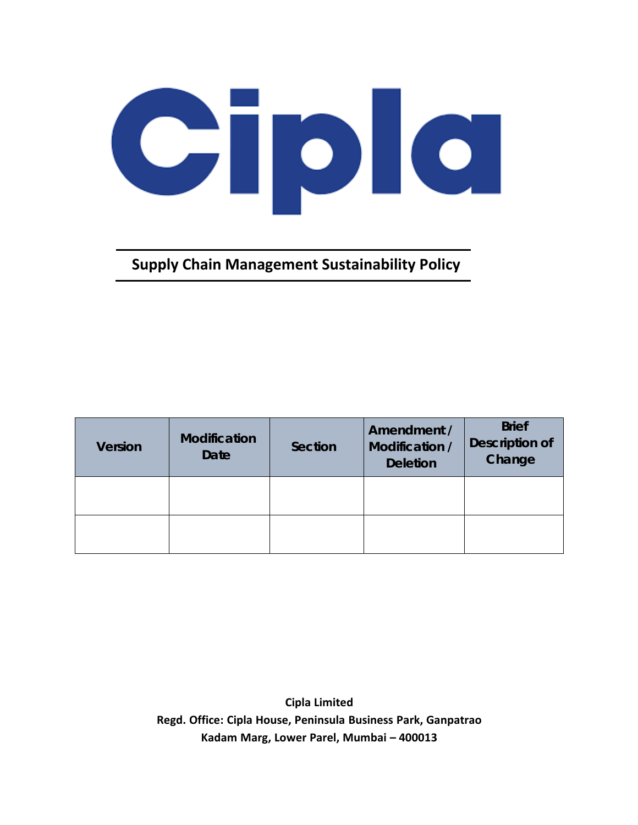## Giple

**Supply Chain Management Sustainability Policy**

| <b>Version</b> | <b>Modification</b><br><b>Date</b> | Section | Amendment /<br>Modification /<br><b>Deletion</b> | <b>Brief</b><br><b>Description of</b><br>Change |
|----------------|------------------------------------|---------|--------------------------------------------------|-------------------------------------------------|
|                |                                    |         |                                                  |                                                 |
|                |                                    |         |                                                  |                                                 |

**Cipla Limited Regd. Office: Cipla House, Peninsula Business Park, Ganpatrao Kadam Marg, Lower Parel, Mumbai – 400013**